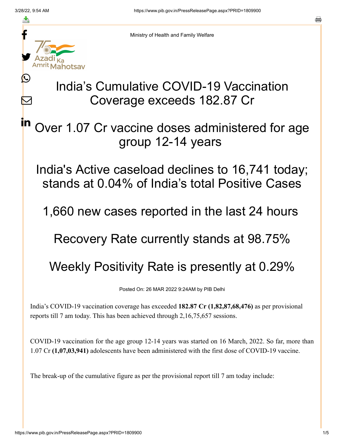≛

 $\mathbf{\Omega}$ 

 $\boldsymbol{\mathsf{M}}$ 

in



Ministry of Health and Family Welfare

## India's Cumulative COVID-19 Vaccination Coverage exceeds 182.87 Cr

Over 1.07 Cr vaccine doses administered for age group 12-14 years

India's Active caseload declines to 16,741 today; stands at 0.04% of India's total Positive Cases

1,660 new cases reported in the last 24 hours

Recovery Rate currently stands at 98.75%

Weekly Positivity Rate is presently at 0.29%

Posted On: 26 MAR 2022 9:24AM by PIB Delhi

India's COVID-19 vaccination coverage has exceeded **182.87 Cr (1,82,87,68,476)** as per provisional reports till 7 am today. This has been achieved through 2,16,75,657 sessions.

COVID-19 vaccination for the age group 12-14 years was started on 16 March, 2022. So far, more than 1.07 Cr **(1,07,03,941)** adolescents have been administered with the first dose of COVID-19 vaccine.

The break-up of the cumulative figure as per the provisional report till 7 am today include: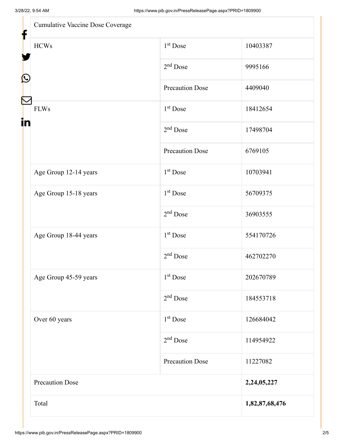$\mathbf{u}$ 

| Cumulative Vaccine Dose Coverage |                        |                |
|----------------------------------|------------------------|----------------|
| <b>HCWs</b>                      | $1st$ Dose             | 10403387       |
|                                  | $2nd$ Dose             | 9995166        |
|                                  | <b>Precaution Dose</b> | 4409040        |
| <b>FLWs</b>                      | 1 <sup>st</sup> Dose   | 18412654       |
|                                  | $2nd$ Dose             | 17498704       |
|                                  | <b>Precaution Dose</b> | 6769105        |
| Age Group 12-14 years            | $1st$ Dose             | 10703941       |
| Age Group 15-18 years            | 1 <sup>st</sup> Dose   | 56709375       |
|                                  | $2nd$ Dose             | 36903555       |
| Age Group 18-44 years            | 1 <sup>st</sup> Dose   | 554170726      |
|                                  | $2nd$ Dose             | 462702270      |
| Age Group 45-59 years            | 1 <sup>st</sup> Dose   | 202670789      |
|                                  | $2nd$ Dose             | 184553718      |
| Over 60 years                    | $1st$ Dose             | 126684042      |
|                                  | $2nd$ Dose             | 114954922      |
|                                  | <b>Precaution Dose</b> | 11227082       |
| <b>Precaution Dose</b>           |                        | 2,24,05,227    |
| Total                            |                        | 1,82,87,68,476 |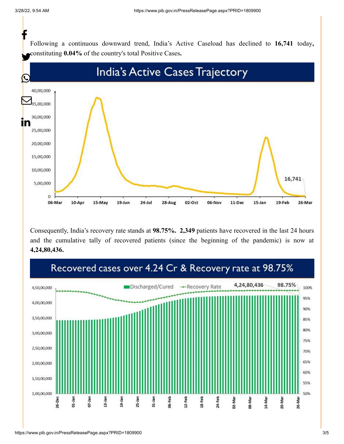Following a continuous downward trend, India's Active Caseload has declined to **16,741** today**,** constituting **0.04%** of the country's total Positive Cases**.** f



Consequently, India's recovery rate stands at **98.75%. 2,349** patients have recovered in the last 24 hours and the cumulative tally of recovered patients (since the beginning of the pandemic) is now at **4,24,80,436.**

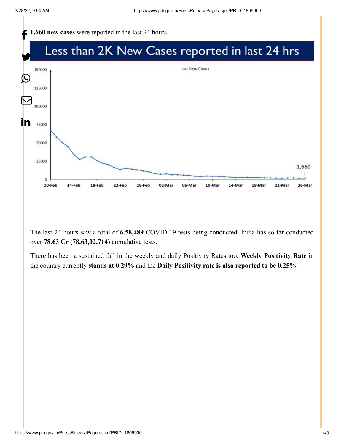

The last 24 hours saw a total of **6,58,489** COVID-19 tests being conducted. India has so far conducted over **78.63 Cr (78,63,02,714**) cumulative tests.

There has been a sustained fall in the weekly and daily Positivity Rates too. **Weekly Positivity Rate** in the country currently **stands at 0.29%** and the **Daily Positivity rate is also reported to be 0.25%.**